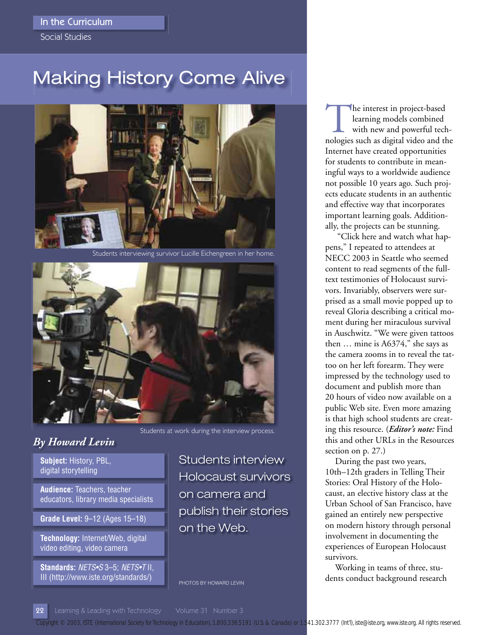### In the Curriculum

Social Studies

# Making History Come Alive



Students interviewing survivor Lucille Eichengreen in her home.



# *By Howard Levin*

**Subject:** History, PBL, digital storytelling

**Audience:** Teachers, teacher educators, library media specialists

**Grade Level:** 9–12 (Ages 15–18)

**Technology:** Internet/Web, digital video editing, video camera

**Standards:** NETS•S 3–5; NETS•T II, III (http://www.iste.org/standards/)

Students at work during the interview process.

Students interview Holocaust survivors on camera and publish their stories on the Web.

PHOTOS BY HOWARD LEVIN

The interest in project-based learning models combined with new and powerful technologies such as digital video and the Internet have created opportunities for students to contribute in meaningful ways to a worldwide audience not possible 10 years ago. Such projects educate students in an authentic and effective way that incorporates important learning goals. Additionally, the projects can be stunning.

 "Click here and watch what happens," I repeated to attendees at NECC 2003 in Seattle who seemed content to read segments of the fulltext testimonies of Holocaust survivors. Invariably, observers were surprised as a small movie popped up to reveal Gloria describing a critical moment during her miraculous survival in Auschwitz. "We were given tattoos then … mine is A6374," she says as the camera zooms in to reveal the tattoo on her left forearm. They were impressed by the technology used to document and publish more than 20 hours of video now available on a public Web site. Even more amazing is that high school students are creating this resource. (*Editor's note:* Find this and other URLs in the Resources section on p. 27.)

During the past two years, 10th–12th graders in Telling Their Stories: Oral History of the Holocaust, an elective history class at the Urban School of San Francisco, have gained an entirely new perspective on modern history through personal involvement in documenting the experiences of European Holocaust survivors.

Working in teams of three, students conduct background research

22 Learning & Leading with Technology Volume 31 Number 3

*Copyright © 2003, ISTE (International Society for Technology in Education), 1.800.336.5191 (U.S. & Canada) or 1.541.302.3777 (Int'l), iste@iste.org, www.iste.org. All rights reserved.*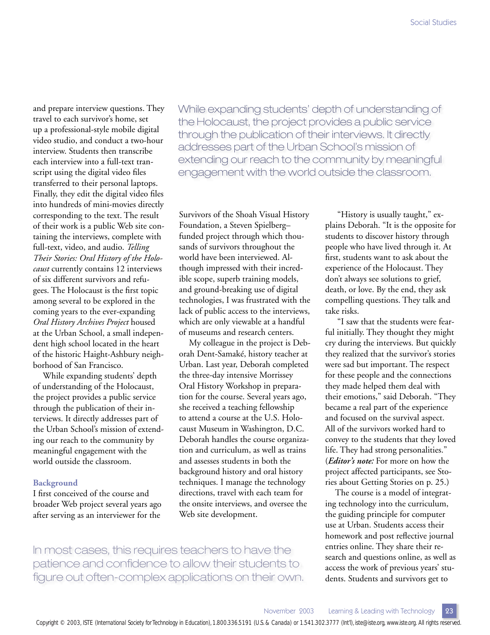and prepare interview questions. They travel to each survivor's home, set up a professional-style mobile digital video studio, and conduct a two-hour interview. Students then transcribe each interview into a full-text transcript using the digital video files transferred to their personal laptops. Finally, they edit the digital video files into hundreds of mini-movies directly corresponding to the text. The result of their work is a public Web site containing the interviews, complete with full-text, video, and audio. *Telling Their Stories: Oral History of the Holocaust* currently contains 12 interviews of six different survivors and refugees. The Holocaust is the first topic among several to be explored in the coming years to the ever-expanding *Oral History Archives Project* housed at the Urban School, a small independent high school located in the heart of the historic Haight-Ashbury neighborhood of San Francisco.

While expanding students' depth of understanding of the Holocaust, the project provides a public service through the publication of their interviews. It directly addresses part of the Urban School's mission of extending our reach to the community by meaningful engagement with the world outside the classroom.

#### **Background**

I first conceived of the course and broader Web project several years ago after serving as an interviewer for the

While expanding students' depth of understanding of the Holocaust, the project provides a public service through the publication of their interviews. It directly addresses part of the Urban School's mission of extending our reach to the community by meaningful engagement with the world outside the classroom.

Survivors of the Shoah Visual History Foundation, a Steven Spielberg– funded project through which thousands of survivors throughout the world have been interviewed. Although impressed with their incredible scope, superb training models, and ground-breaking use of digital technologies, I was frustrated with the lack of public access to the interviews, which are only viewable at a handful of museums and research centers.

My colleague in the project is Deborah Dent-Samaké, history teacher at Urban. Last year, Deborah completed the three-day intensive Morrissey Oral History Workshop in preparation for the course. Several years ago, she received a teaching fellowship to attend a course at the U.S. Holocaust Museum in Washington, D.C. Deborah handles the course organization and curriculum, as well as trains and assesses students in both the background history and oral history techniques. I manage the technology directions, travel with each team for the onsite interviews, and oversee the Web site development.

 "History is usually taught," explains Deborah. "It is the opposite for students to discover history through people who have lived through it. At first, students want to ask about the experience of the Holocaust. They don't always see solutions to grief, death, or love. By the end, they ask compelling questions. They talk and take risks.

 "I saw that the students were fearful initially. They thought they might cry during the interviews. But quickly they realized that the survivor's stories were sad but important. The respect for these people and the connections they made helped them deal with their emotions," said Deborah. "They became a real part of the experience and focused on the survival aspect. All of the survivors worked hard to convey to the students that they loved life. They had strong personalities." (*Editor's note:* For more on how the project affected participants, see Stories about Getting Stories on p. 25.)

The course is a model of integrating technology into the curriculum, the guiding principle for computer use at Urban. Students access their homework and post reflective journal entries online. They share their research and questions online, as well as access the work of previous years' students. Students and survivors get to

In most cases, this requires teachers to have the patience and confidence to allow their students to figure out often-complex applications on their own.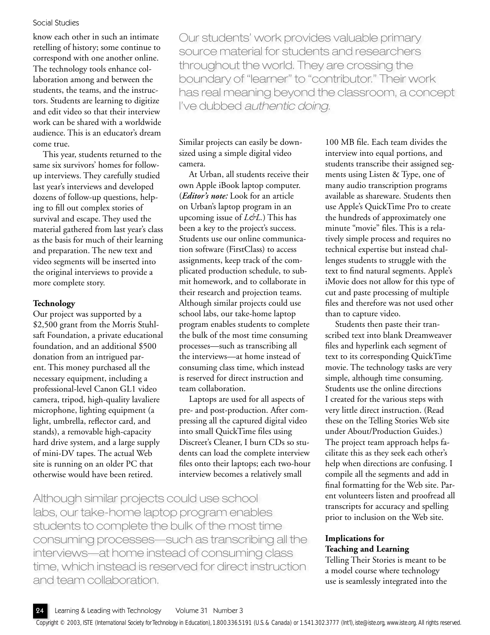### Social Studies

know each other in such an intimate retelling of history; some continue to correspond with one another online. The technology tools enhance collaboration among and between the students, the teams, and the instructors. Students are learning to digitize and edit video so that their interview work can be shared with a worldwide audience. This is an educator's dream come true.

This year, students returned to the same six survivors' homes for followup interviews. They carefully studied last year's interviews and developed dozens of follow-up questions, helping to fill out complex stories of survival and escape. They used the material gathered from last year's class as the basis for much of their learning and preparation. The new text and video segments will be inserted into the original interviews to provide a more complete story.

### **Technology**

Our project was supported by a \$2,500 grant from the Morris Stuhlsaft Foundation, a private educational foundation, and an additional \$500 donation from an intrigued parent. This money purchased all the necessary equipment, including a professional-level Canon GL1 video camera, tripod, high-quality lavaliere microphone, lighting equipment (a light, umbrella, reflector card, and stands), a removable high-capacity hard drive system, and a large supply of mini-DV tapes. The actual Web site is running on an older PC that otherwise would have been retired.

Our students' work provides valuable primary source material for students and researchers throughout the world. They are crossing the boundary of "learner" to "contributor." Their work has real meaning beyond the classroom, a concept I've dubbed authentic doing.

Similar projects can easily be downsized using a simple digital video camera.

At Urban, all students receive their own Apple iBook laptop computer. (*Editor's note:* Look for an article on Urban's laptop program in an upcoming issue of *L&L.*) This has been a key to the project's success. Students use our online communication software (FirstClass) to access assignments, keep track of the complicated production schedule, to submit homework, and to collaborate in their research and projection teams. Although similar projects could use school labs, our take-home laptop program enables students to complete the bulk of the most time consuming processes—such as transcribing all the interviews—at home instead of consuming class time, which instead is reserved for direct instruction and team collaboration.

Laptops are used for all aspects of pre- and post-production. After compressing all the captured digital video into small QuickTime files using Discreet's Cleaner, I burn CDs so students can load the complete interview files onto their laptops; each two-hour interview becomes a relatively small

Although similar projects could use school labs, our take-home laptop program enables students to complete the bulk of the most time consuming processes—such as transcribing all the interviews—at home instead of consuming class time, which instead is reserved for direct instruction and team collaboration.

100 MB file. Each team divides the interview into equal portions, and students transcribe their assigned segments using Listen & Type, one of many audio transcription programs available as shareware. Students then use Apple's QuickTime Pro to create the hundreds of approximately one minute "movie" files. This is a relatively simple process and requires no technical expertise but instead challenges students to struggle with the text to find natural segments. Apple's iMovie does not allow for this type of cut and paste processing of multiple files and therefore was not used other than to capture video.

Students then paste their transcribed text into blank Dreamweaver files and hyperlink each segment of text to its corresponding QuickTime movie. The technology tasks are very simple, although time consuming. Students use the online directions I created for the various steps with very little direct instruction. (Read these on the Telling Stories Web site under About/Production Guides.) The project team approach helps facilitate this as they seek each other's help when directions are confusing. I compile all the segments and add in final formatting for the Web site. Parent volunteers listen and proofread all transcripts for accuracy and spelling prior to inclusion on the Web site.

### **Implications for Teaching and Learning**

Telling Their Stories is meant to be a model course where technology use is seamlessly integrated into the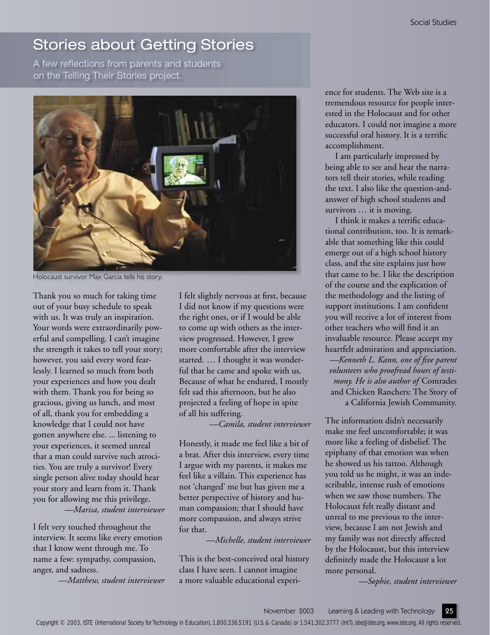# Stories about Getting Stories

A few reflections from parents and students on the Telling Their Stories project.



Holocaust survivor Max Garcia tells his story.

Thank you so much for taking time out of your busy schedule to speak with us. It was truly an inspiration. Your words were extraordinarily powerful and compelling. I can't imagine the strength it takes to tell your story; however, you said every word fearlessly. I learned so much from both your experiences and how you dealt with them. Thank you for being so gracious, giving us lunch, and most of all, thank you for embedding a knowledge that I could not have gotten anywhere else. ... listening to your experiences, it seemed unreal that a man could survive such atrocities. You are truly a survivor! Every single person alive today should hear your story and learn from it. Thank you for allowing me this privilege. *—Marisa, student interviewer* 

I felt very touched throughout the interview. It seems like every emotion that I know went through me. To name a few: sympathy, compassion, anger, and sadness.

*—Matthew, student interviewer* 

I felt slightly nervous at first, because I did not know if my questions were the right ones, or if I would be able to come up with others as the interview progressed. However, I grew more comfortable after the interview started. … I thought it was wonderful that he came and spoke with us. Because of what he endured, I mostly felt sad this afternoon, but he also projected a feeling of hope in spite of all his suffering.

*—Camila, student interviewer* 

Honestly, it made me feel like a bit of a brat. After this interview, every time I argue with my parents, it makes me feel like a villain. This experience has not 'changed' me but has given me a better perspective of history and human compassion; that I should have more compassion, and always strive for that.

*—Michelle, student interviewer*

This is the best-conceived oral history class I have seen. I cannot imagine a more valuable educational experience for students. The Web site is a tremendous resource for people interested in the Holocaust and for other educators. I could not imagine a more successful oral history. It is a terrific accomplishment.

I am particularly impressed by being able to see and hear the narrators tell their stories, while reading the text. I also like the question-andanswer of high school students and survivors … it is moving.

I think it makes a terrific educational contribution, too. It is remarkable that something like this could emerge out of a high school history class, and the site explains just how that came to be. I like the description of the course and the explication of the methodology and the listing of support institutions. I am confident you will receive a lot of interest from other teachers who will find it an invaluable resource. Please accept my heartfelt admiration and appreciation. *—Kenneth L. Kann, one of fi ve parent volunteers who proofread hours of testimony. He is also author of* Comrades and Chicken Ranchers: The Story of a California Jewish Community.

The information didn't necessarily make me feel uncomfortable; it was more like a feeling of disbelief. The epiphany of that emotion was when he showed us his tattoo. Although you told us he might, it was an indescribable, intense rush of emotions when we saw those numbers. The Holocaust felt really distant and unreal to me previous to the interview, because I am not Jewish and my family was not directly affected by the Holocaust, but this interview definitely made the Holocaust a lot more personal.

*—Sophie, student interviewer*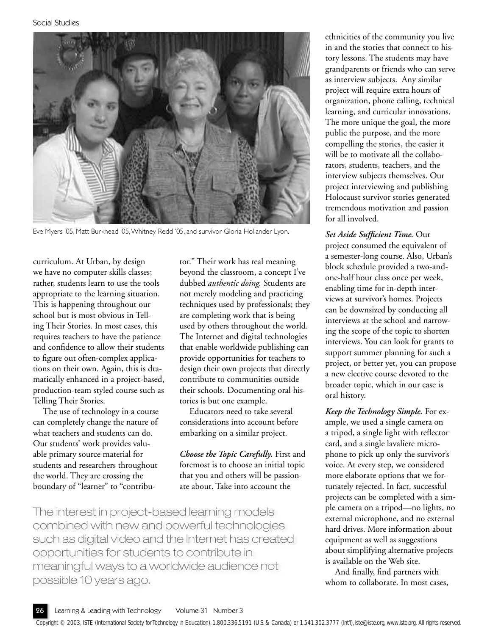

Eve Myers '05, Matt Burkhead '05, Whitney Redd '05, and survivor Gloria Hollander Lyon.

curriculum. At Urban, by design we have no computer skills classes; rather, students learn to use the tools appropriate to the learning situation. This is happening throughout our school but is most obvious in Telling Their Stories. In most cases, this requires teachers to have the patience and confidence to allow their students to figure out often-complex applications on their own. Again, this is dramatically enhanced in a project-based, production-team styled course such as Telling Their Stories.

The use of technology in a course can completely change the nature of what teachers and students can do. Our students' work provides valuable primary source material for students and researchers throughout the world. They are crossing the boundary of "learner" to "contributor." Their work has real meaning beyond the classroom, a concept I've dubbed *authentic doing.* Students are not merely modeling and practicing techniques used by professionals; they are completing work that is being used by others throughout the world. The Internet and digital technologies that enable worldwide publishing can provide opportunities for teachers to design their own projects that directly contribute to communities outside their schools. Documenting oral histories is but one example.

Educators need to take several considerations into account before embarking on a similar project.

*Choose the Topic Carefully.* First and foremost is to choose an initial topic that you and others will be passionate about. Take into account the

The interest in project-based learning models combined with new and powerful technologies such as digital video and the Internet has created opportunities for students to contribute in meaningful ways to a worldwide audience not possible 10 years ago.

ethnicities of the community you live in and the stories that connect to history lessons. The students may have grandparents or friends who can serve as interview subjects. Any similar project will require extra hours of organization, phone calling, technical learning, and curricular innovations. The more unique the goal, the more public the purpose, and the more compelling the stories, the easier it will be to motivate all the collaborators, students, teachers, and the interview subjects themselves. Our project interviewing and publishing Holocaust survivor stories generated tremendous motivation and passion for all involved.

### Set Aside Sufficient Time. Our

project consumed the equivalent of a semester-long course. Also, Urban's block schedule provided a two-andone-half hour class once per week, enabling time for in-depth interviews at survivor's homes. Projects can be downsized by conducting all interviews at the school and narrowing the scope of the topic to shorten interviews. You can look for grants to support summer planning for such a project, or better yet, you can propose a new elective course devoted to the broader topic, which in our case is oral history.

*Keep the Technology Simple.* For example, we used a single camera on a tripod, a single light with reflector card, and a single lavaliere microphone to pick up only the survivor's voice. At every step, we considered more elaborate options that we fortunately rejected. In fact, successful projects can be completed with a simple camera on a tripod—no lights, no external microphone, and no external hard drives. More information about equipment as well as suggestions about simplifying alternative projects is available on the Web site.

And finally, find partners with whom to collaborate. In most cases,